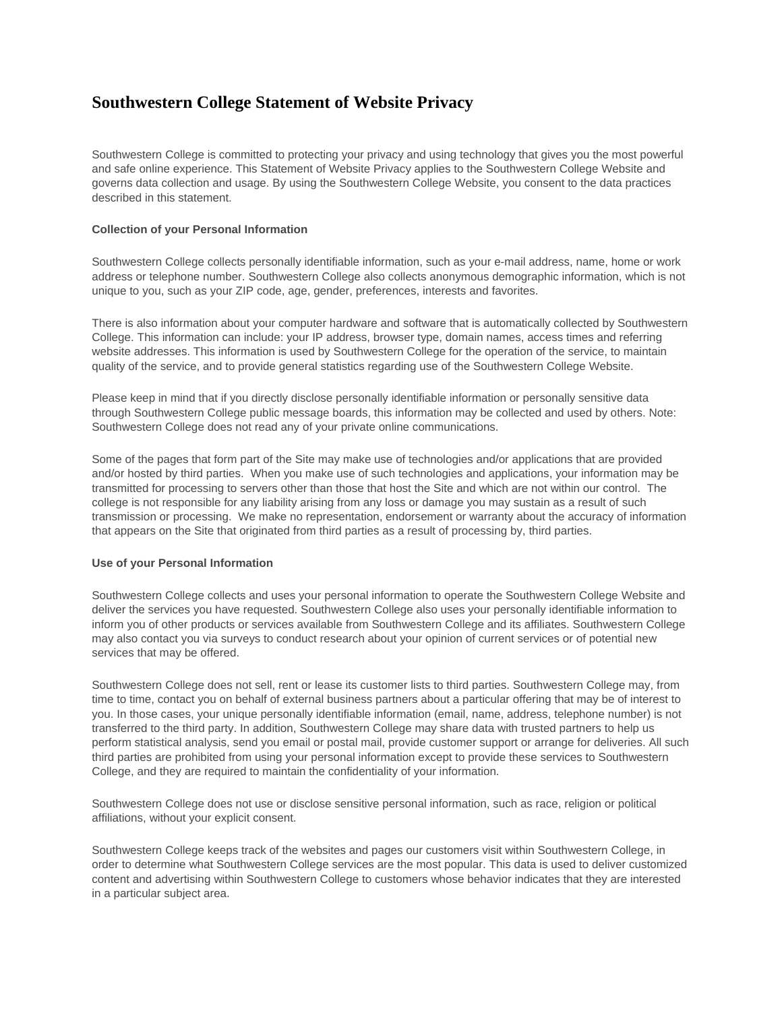# **Southwestern College Statement of Website Privacy**

Southwestern College is committed to protecting your privacy and using technology that gives you the most powerful and safe online experience. This Statement of Website Privacy applies to the Southwestern College Website and governs data collection and usage. By using the Southwestern College Website, you consent to the data practices described in this statement.

## **Collection of your Personal Information**

Southwestern College collects personally identifiable information, such as your e-mail address, name, home or work address or telephone number. Southwestern College also collects anonymous demographic information, which is not unique to you, such as your ZIP code, age, gender, preferences, interests and favorites.

There is also information about your computer hardware and software that is automatically collected by Southwestern College. This information can include: your IP address, browser type, domain names, access times and referring website addresses. This information is used by Southwestern College for the operation of the service, to maintain quality of the service, and to provide general statistics regarding use of the Southwestern College Website.

Please keep in mind that if you directly disclose personally identifiable information or personally sensitive data through Southwestern College public message boards, this information may be collected and used by others. Note: Southwestern College does not read any of your private online communications.

Some of the pages that form part of the Site may make use of technologies and/or applications that are provided and/or hosted by third parties. When you make use of such technologies and applications, your information may be transmitted for processing to servers other than those that host the Site and which are not within our control. The college is not responsible for any liability arising from any loss or damage you may sustain as a result of such transmission or processing. We make no representation, endorsement or warranty about the accuracy of information that appears on the Site that originated from third parties as a result of processing by, third parties.

#### **Use of your Personal Information**

Southwestern College collects and uses your personal information to operate the Southwestern College Website and deliver the services you have requested. Southwestern College also uses your personally identifiable information to inform you of other products or services available from Southwestern College and its affiliates. Southwestern College may also contact you via surveys to conduct research about your opinion of current services or of potential new services that may be offered.

Southwestern College does not sell, rent or lease its customer lists to third parties. Southwestern College may, from time to time, contact you on behalf of external business partners about a particular offering that may be of interest to you. In those cases, your unique personally identifiable information (email, name, address, telephone number) is not transferred to the third party. In addition, Southwestern College may share data with trusted partners to help us perform statistical analysis, send you email or postal mail, provide customer support or arrange for deliveries. All such third parties are prohibited from using your personal information except to provide these services to Southwestern College, and they are required to maintain the confidentiality of your information.

Southwestern College does not use or disclose sensitive personal information, such as race, religion or political affiliations, without your explicit consent.

Southwestern College keeps track of the websites and pages our customers visit within Southwestern College, in order to determine what Southwestern College services are the most popular. This data is used to deliver customized content and advertising within Southwestern College to customers whose behavior indicates that they are interested in a particular subject area.